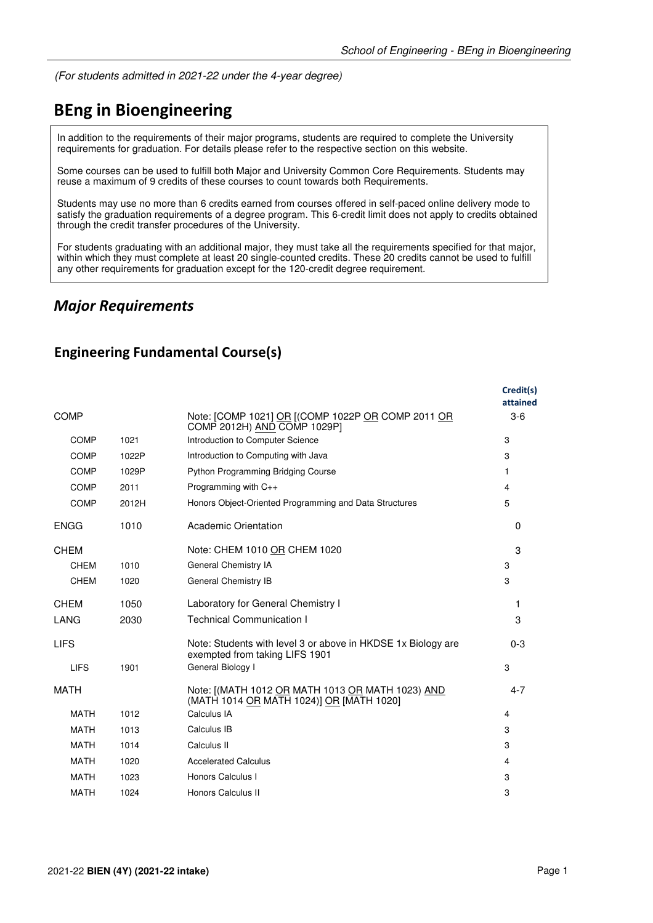(For students admitted in 2021-22 under the 4-year degree)

## **BEng in Bioengineering**

In addition to the requirements of their major programs, students are required to complete the University requirements for graduation. For details please refer to the respective section on this website.

Some courses can be used to fulfill both Major and University Common Core Requirements. Students may reuse a maximum of 9 credits of these courses to count towards both Requirements.

Students may use no more than 6 credits earned from courses offered in self-paced online delivery mode to satisfy the graduation requirements of a degree program. This 6-credit limit does not apply to credits obtained through the credit transfer procedures of the University.

For students graduating with an additional major, they must take all the requirements specified for that major, within which they must complete at least 20 single-counted credits. These 20 credits cannot be used to fulfill any other requirements for graduation except for the 120-credit degree requirement.

## *Major Requirements*

|  | <b>Engineering Fundamental Course(s)</b> |  |
|--|------------------------------------------|--|
|--|------------------------------------------|--|

|             |       |                                                                                                | Credit(s)<br>attained |
|-------------|-------|------------------------------------------------------------------------------------------------|-----------------------|
| <b>COMP</b> |       | Note: [COMP 1021] OR [(COMP 1022P OR COMP 2011 OR<br>COMP 2012H) AND COMP 1029P]               | $3-6$                 |
| <b>COMP</b> | 1021  | Introduction to Computer Science                                                               | 3                     |
| <b>COMP</b> | 1022P | Introduction to Computing with Java                                                            | 3                     |
| <b>COMP</b> | 1029P | <b>Python Programming Bridging Course</b>                                                      | 1                     |
| COMP        | 2011  | Programming with C++                                                                           | 4                     |
| COMP        | 2012H | Honors Object-Oriented Programming and Data Structures                                         | 5                     |
| <b>ENGG</b> | 1010  | <b>Academic Orientation</b>                                                                    | $\Omega$              |
| <b>CHEM</b> |       | Note: CHEM 1010 OR CHEM 1020                                                                   | 3                     |
| <b>CHEM</b> | 1010  | General Chemistry IA                                                                           | 3                     |
| <b>CHEM</b> | 1020  | General Chemistry IB                                                                           | 3                     |
| <b>CHEM</b> | 1050  | Laboratory for General Chemistry I                                                             | 1                     |
| LANG        | 2030  | <b>Technical Communication I</b>                                                               | 3                     |
| <b>LIFS</b> |       | Note: Students with level 3 or above in HKDSE 1x Biology are<br>exempted from taking LIFS 1901 | $0 - 3$               |
| <b>LIFS</b> | 1901  | General Biology I                                                                              | 3                     |
| <b>MATH</b> |       | Note: [(MATH 1012 OR MATH 1013 OR MATH 1023) AND<br>(MATH 1014 OR MATH 1024)] OR [MATH 1020]   | $4 - 7$               |
| <b>MATH</b> | 1012  | Calculus IA                                                                                    | 4                     |
| <b>MATH</b> | 1013  | Calculus IB                                                                                    | 3                     |
| <b>MATH</b> | 1014  | Calculus II                                                                                    | 3                     |
| <b>MATH</b> | 1020  | <b>Accelerated Calculus</b>                                                                    | 4                     |
| <b>MATH</b> | 1023  | Honors Calculus I                                                                              | 3                     |
| <b>MATH</b> | 1024  | Honors Calculus II                                                                             | 3                     |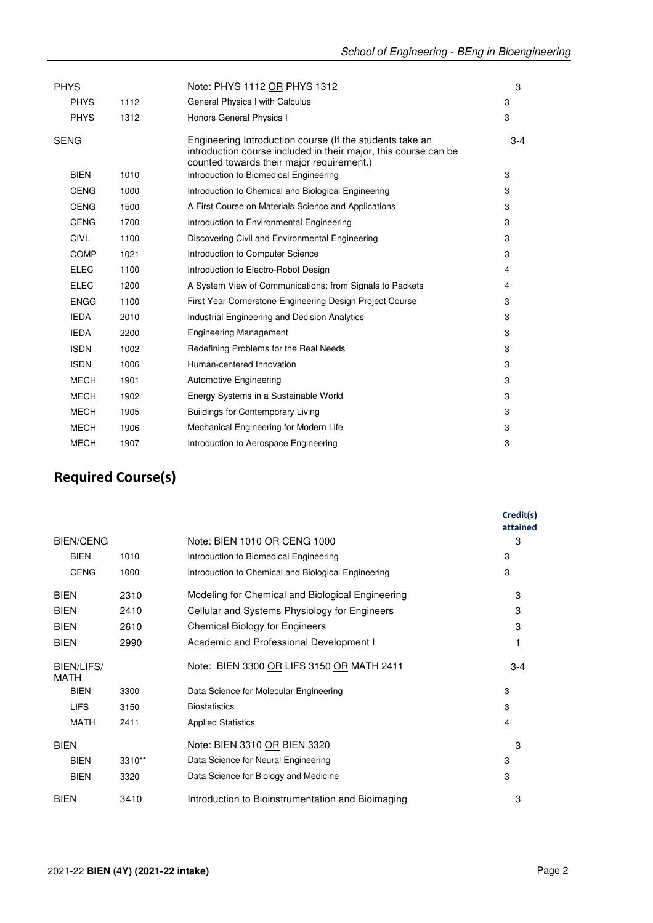|      | Note: PHYS 1112 OR PHYS 1312                                                                                                                                             | 3     |
|------|--------------------------------------------------------------------------------------------------------------------------------------------------------------------------|-------|
| 1112 | General Physics I with Calculus                                                                                                                                          | 3     |
| 1312 | Honors General Physics I                                                                                                                                                 | 3     |
|      | Engineering Introduction course (If the students take an<br>introduction course included in their major, this course can be<br>counted towards their major requirement.) | $3-4$ |
| 1010 | Introduction to Biomedical Engineering                                                                                                                                   | 3     |
| 1000 | Introduction to Chemical and Biological Engineering                                                                                                                      | 3     |
| 1500 | A First Course on Materials Science and Applications                                                                                                                     | 3     |
| 1700 | Introduction to Environmental Engineering                                                                                                                                | 3     |
| 1100 | Discovering Civil and Environmental Engineering                                                                                                                          | 3     |
| 1021 | Introduction to Computer Science                                                                                                                                         | 3     |
| 1100 | Introduction to Electro-Robot Design                                                                                                                                     | 4     |
| 1200 | A System View of Communications: from Signals to Packets                                                                                                                 | 4     |
| 1100 | First Year Cornerstone Engineering Design Project Course                                                                                                                 | 3     |
| 2010 | Industrial Engineering and Decision Analytics                                                                                                                            | 3     |
| 2200 | <b>Engineering Management</b>                                                                                                                                            | 3     |
| 1002 | Redefining Problems for the Real Needs                                                                                                                                   | 3     |
| 1006 | Human-centered Innovation                                                                                                                                                | 3     |
| 1901 | Automotive Engineering                                                                                                                                                   | 3     |
| 1902 | Energy Systems in a Sustainable World                                                                                                                                    | 3     |
| 1905 | <b>Buildings for Contemporary Living</b>                                                                                                                                 | 3     |
| 1906 | Mechanical Engineering for Modern Life                                                                                                                                   | 3     |
| 1907 | Introduction to Aerospace Engineering                                                                                                                                    | 3     |
|      |                                                                                                                                                                          |       |

## **Required Course(s)**

|                           |        |                                                     | Credit(s)<br>attained |
|---------------------------|--------|-----------------------------------------------------|-----------------------|
| <b>BIEN/CENG</b>          |        | Note: BIEN 1010 OR CENG 1000                        | 3                     |
| <b>BIEN</b>               | 1010   | Introduction to Biomedical Engineering              | 3                     |
| <b>CENG</b>               | 1000   | Introduction to Chemical and Biological Engineering | 3                     |
| <b>BIEN</b>               | 2310   | Modeling for Chemical and Biological Engineering    | 3                     |
| <b>BIEN</b>               | 2410   | Cellular and Systems Physiology for Engineers       | 3                     |
| <b>BIEN</b>               | 2610   | <b>Chemical Biology for Engineers</b>               | 3                     |
| <b>BIEN</b>               | 2990   | Academic and Professional Development I             |                       |
| BIEN/LIFS/<br><b>MATH</b> |        | Note: BIEN 3300 OR LIFS 3150 OR MATH 2411           | $3 - 4$               |
| <b>BIEN</b>               | 3300   | Data Science for Molecular Engineering              | 3                     |
| <b>LIFS</b>               | 3150   | <b>Biostatistics</b>                                | 3                     |
| <b>MATH</b>               | 2411   | <b>Applied Statistics</b>                           | $\overline{4}$        |
| <b>BIEN</b>               |        | Note: BIEN 3310 OR BIEN 3320                        | 3                     |
| <b>BIEN</b>               | 3310** | Data Science for Neural Engineering                 | 3                     |
| <b>BIEN</b>               | 3320   | Data Science for Biology and Medicine               | 3                     |
| <b>BIEN</b>               | 3410   | Introduction to Bioinstrumentation and Bioimaging   | 3                     |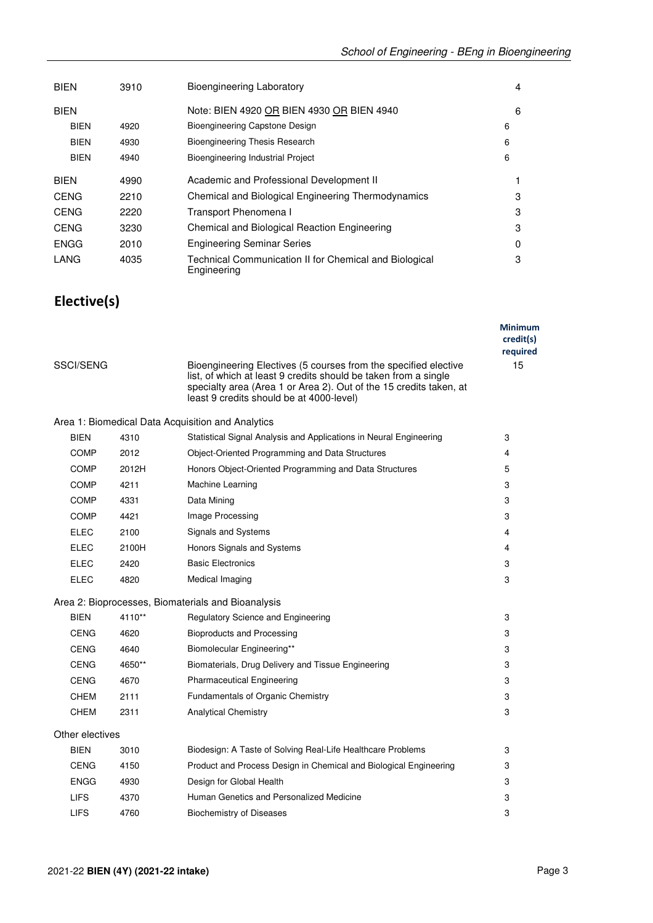| <b>BIEN</b> | 3910 | Bioengineering Laboratory                                             | 4 |
|-------------|------|-----------------------------------------------------------------------|---|
| <b>BIEN</b> |      | Note: BIEN 4920 OR BIEN 4930 OR BIEN 4940                             | 6 |
| <b>BIEN</b> | 4920 | Bioengineering Capstone Design                                        | 6 |
| <b>BIEN</b> | 4930 | Bioengineering Thesis Research                                        | 6 |
| <b>BIEN</b> | 4940 | Bioengineering Industrial Project                                     | 6 |
| <b>BIEN</b> | 4990 | Academic and Professional Development II                              |   |
| <b>CENG</b> | 2210 | Chemical and Biological Engineering Thermodynamics                    | 3 |
| <b>CENG</b> | 2220 | Transport Phenomena I                                                 | 3 |
| <b>CENG</b> | 3230 | Chemical and Biological Reaction Engineering                          | 3 |
| <b>ENGG</b> | 2010 | <b>Engineering Seminar Series</b>                                     | 0 |
| LANG        | 4035 | Technical Communication II for Chemical and Biological<br>Engineering | 3 |

## **Elective(s)**

| SSCI/SENG       |        | Bioengineering Electives (5 courses from the specified elective<br>list, of which at least 9 credits should be taken from a single<br>specialty area (Area 1 or Area 2). Out of the 15 credits taken, at<br>least 9 credits should be at 4000-level) | <b>Minimum</b><br>credit(s)<br>required<br>15 |
|-----------------|--------|------------------------------------------------------------------------------------------------------------------------------------------------------------------------------------------------------------------------------------------------------|-----------------------------------------------|
|                 |        | Area 1: Biomedical Data Acquisition and Analytics                                                                                                                                                                                                    |                                               |
| <b>BIEN</b>     | 4310   | Statistical Signal Analysis and Applications in Neural Engineering                                                                                                                                                                                   | 3                                             |
| <b>COMP</b>     | 2012   | Object-Oriented Programming and Data Structures                                                                                                                                                                                                      | 4                                             |
| <b>COMP</b>     | 2012H  | Honors Object-Oriented Programming and Data Structures                                                                                                                                                                                               | 5                                             |
| <b>COMP</b>     | 4211   | Machine Learning                                                                                                                                                                                                                                     | 3                                             |
| <b>COMP</b>     | 4331   | Data Mining                                                                                                                                                                                                                                          | 3                                             |
| <b>COMP</b>     | 4421   | Image Processing                                                                                                                                                                                                                                     | 3                                             |
| <b>ELEC</b>     | 2100   | Signals and Systems                                                                                                                                                                                                                                  | 4                                             |
| <b>ELEC</b>     | 2100H  | Honors Signals and Systems                                                                                                                                                                                                                           | 4                                             |
| <b>ELEC</b>     | 2420   | <b>Basic Electronics</b>                                                                                                                                                                                                                             | 3                                             |
| ELEC            | 4820   | Medical Imaging                                                                                                                                                                                                                                      | 3                                             |
|                 |        | Area 2: Bioprocesses, Biomaterials and Bioanalysis                                                                                                                                                                                                   |                                               |
| <b>BIEN</b>     | 4110** | Regulatory Science and Engineering                                                                                                                                                                                                                   | 3                                             |
| <b>CENG</b>     | 4620   | <b>Bioproducts and Processing</b>                                                                                                                                                                                                                    | 3                                             |
| <b>CENG</b>     | 4640   | Biomolecular Engineering**                                                                                                                                                                                                                           | 3                                             |
| <b>CENG</b>     | 4650** | Biomaterials, Drug Delivery and Tissue Engineering                                                                                                                                                                                                   | 3                                             |
| <b>CENG</b>     | 4670   | <b>Pharmaceutical Engineering</b>                                                                                                                                                                                                                    | 3                                             |
| <b>CHEM</b>     | 2111   | Fundamentals of Organic Chemistry                                                                                                                                                                                                                    | 3                                             |
| CHEM            | 2311   | <b>Analytical Chemistry</b>                                                                                                                                                                                                                          | 3                                             |
| Other electives |        |                                                                                                                                                                                                                                                      |                                               |
| <b>BIEN</b>     | 3010   | Biodesign: A Taste of Solving Real-Life Healthcare Problems                                                                                                                                                                                          | 3                                             |
| <b>CENG</b>     | 4150   | Product and Process Design in Chemical and Biological Engineering                                                                                                                                                                                    | 3                                             |
| <b>ENGG</b>     | 4930   | Design for Global Health                                                                                                                                                                                                                             | 3                                             |
| <b>LIFS</b>     | 4370   | Human Genetics and Personalized Medicine                                                                                                                                                                                                             | 3                                             |
| <b>LIFS</b>     | 4760   | <b>Biochemistry of Diseases</b>                                                                                                                                                                                                                      | 3                                             |